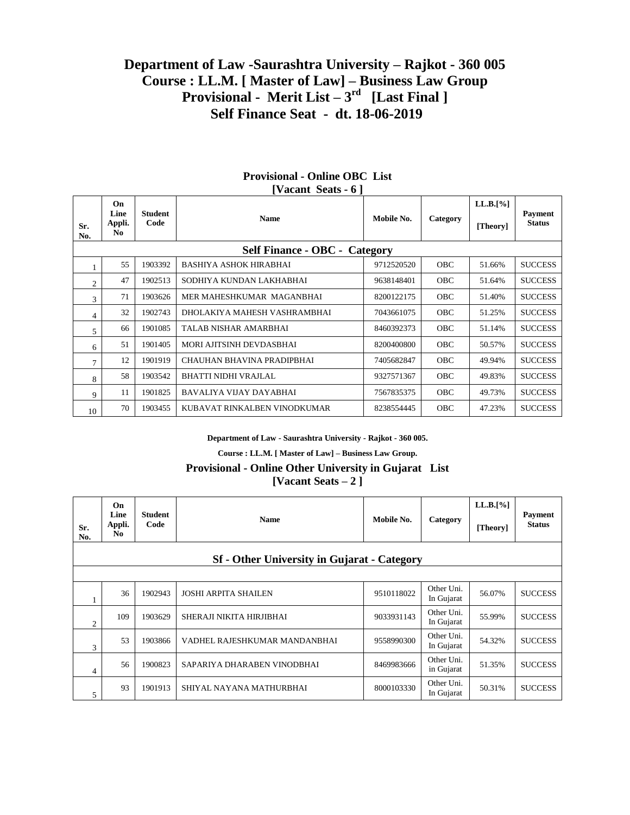# **Department of Law -Saurashtra University – Rajkot - 360 005 Course : LL.M. [ Master of Law] – Business Law Group Provisional - Merit List – 3 rd [Last Final ] Self Finance Seat - dt. 18-06-2019**

| Sr.                                  | On.<br>Line<br>Appli. | <b>Student</b><br>Code | <b>Name</b>                   | Mobile No. | Category   | $LL.B.[\%]$ | Payment<br><b>Status</b> |  |
|--------------------------------------|-----------------------|------------------------|-------------------------------|------------|------------|-------------|--------------------------|--|
| No.                                  | No.                   |                        |                               |            |            | [Theory]    |                          |  |
| <b>Self Finance - OBC - Category</b> |                       |                        |                               |            |            |             |                          |  |
|                                      | 55                    | 1903392                | <b>BASHIYA ASHOK HIRABHAI</b> | 9712520520 | <b>OBC</b> | 51.66%      | <b>SUCCESS</b>           |  |
| $\mathfrak{2}$                       | 47                    | 1902513                | SODHIYA KUNDAN LAKHABHAI      | 9638148401 | <b>OBC</b> | 51.64%      | <b>SUCCESS</b>           |  |
| 3                                    | 71                    | 1903626                | MER MAHESHKUMAR MAGANBHAI     | 8200122175 | <b>OBC</b> | 51.40%      | <b>SUCCESS</b>           |  |
| 4                                    | 32                    | 1902743                | DHOLAKIYA MAHESH VASHRAMBHAI  | 7043661075 | <b>OBC</b> | 51.25%      | <b>SUCCESS</b>           |  |
| 5                                    | 66                    | 1901085                | TALAB NISHAR AMARBHAI         | 8460392373 | <b>OBC</b> | 51.14%      | <b>SUCCESS</b>           |  |
| 6                                    | 51                    | 1901405                | MORI AJITSINH DEVDASBHAI      | 8200400800 | <b>OBC</b> | 50.57%      | <b>SUCCESS</b>           |  |
| 7                                    | 12                    | 1901919                | CHAUHAN BHAVINA PRADIPBHAI    | 7405682847 | <b>OBC</b> | 49.94%      | <b>SUCCESS</b>           |  |
| 8                                    | 58                    | 1903542                | <b>BHATTI NIDHI VRAJLAL</b>   | 9327571367 | <b>OBC</b> | 49.83%      | <b>SUCCESS</b>           |  |
| 9                                    | 11                    | 1901825                | BAVALIYA VIJAY DAYABHAI       | 7567835375 | <b>OBC</b> | 49.73%      | <b>SUCCESS</b>           |  |
| 10                                   | 70                    | 1903455                | KUBAVAT RINKALBEN VINODKUMAR  | 8238554445 | <b>OBC</b> | 47.23%      | <b>SUCCESS</b>           |  |

#### **Provisional - Online OBC List [Vacant Seats - 6 ]**

**Department of Law - Saurashtra University - Rajkot - 360 005.**

**Course : LL.M. [ Master of Law] – Business Law Group.**

## **Provisional - Online Other University in Gujarat List [Vacant Seats – 2 ]**

| Sr.<br>No.     | On.<br>Line<br>Appli.<br>N <sub>0</sub>            | <b>Student</b><br>Code | <b>Name</b>                   | Mobile No. | Category                 | $LL.B.[\%]$<br>[Theory] | <b>Payment</b><br><b>Status</b> |  |  |  |
|----------------|----------------------------------------------------|------------------------|-------------------------------|------------|--------------------------|-------------------------|---------------------------------|--|--|--|
|                | <b>Sf</b> - Other University in Gujarat - Category |                        |                               |            |                          |                         |                                 |  |  |  |
|                |                                                    |                        |                               |            |                          |                         |                                 |  |  |  |
|                | 36                                                 | 1902943                | <b>JOSHI ARPITA SHAILEN</b>   | 9510118022 | Other Uni.<br>In Gujarat | 56.07%                  | <b>SUCCESS</b>                  |  |  |  |
| $\overline{c}$ | 109                                                | 1903629                | SHERAJI NIKITA HIRJIBHAI      | 9033931143 | Other Uni.<br>In Gujarat | 55.99%                  | <b>SUCCESS</b>                  |  |  |  |
| 3              | 53                                                 | 1903866                | VADHEL RAJESHKUMAR MANDANBHAI | 9558990300 | Other Uni.<br>In Gujarat | 54.32%                  | <b>SUCCESS</b>                  |  |  |  |
| 4              | 56                                                 | 1900823                | SAPARIYA DHARABEN VINODBHAI   | 8469983666 | Other Uni.<br>in Gujarat | 51.35%                  | <b>SUCCESS</b>                  |  |  |  |
| 5              | 93                                                 | 1901913                | SHIYAL NAYANA MATHURBHAI      | 8000103330 | Other Uni.<br>In Gujarat | 50.31%                  | <b>SUCCESS</b>                  |  |  |  |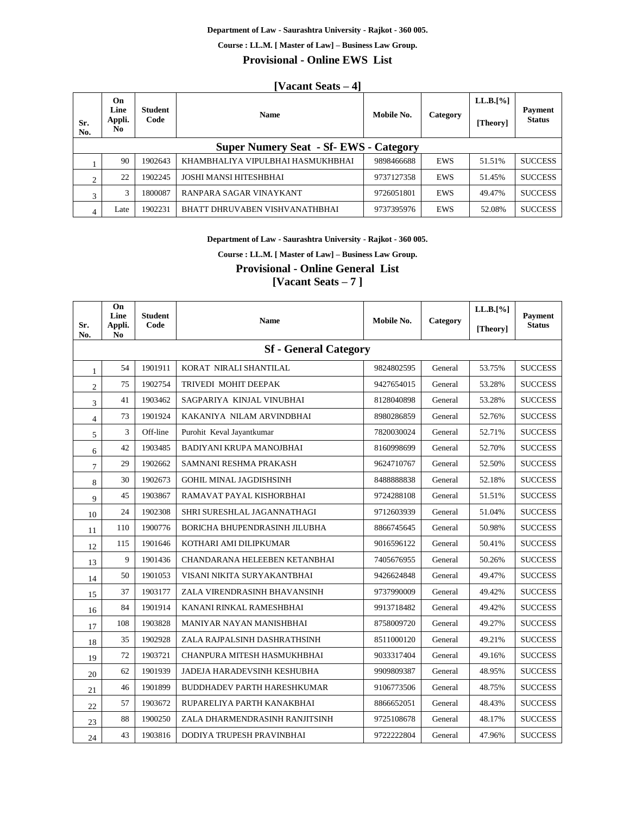#### **Department of Law - Saurashtra University - Rajkot - 360 005.**

**Course : LL.M. [ Master of Law] – Business Law Group.**

**Provisional - Online EWS List**

### **[Vacant Seats – 4]**

| Sr.<br>No.                                    | On<br>Line<br>Appli.<br>N <sub>0</sub> | <b>Student</b><br>Code | <b>Name</b>                       | Mobile No. | Category   | $LL.B.[\%]$<br>[Theory] | <b>Payment</b><br><b>Status</b> |  |
|-----------------------------------------------|----------------------------------------|------------------------|-----------------------------------|------------|------------|-------------------------|---------------------------------|--|
| <b>Super Numery Seat - Sf- EWS - Category</b> |                                        |                        |                                   |            |            |                         |                                 |  |
|                                               | 90                                     | 1902643                | KHAMBHALIYA VIPULBHAI HASMUKHBHAI | 9898466688 | <b>EWS</b> | 51.51%                  | <b>SUCCESS</b>                  |  |
|                                               | 22                                     | 1902245                | JOSHI MANSI HITESHBHAI            | 9737127358 | <b>EWS</b> | 51.45%                  | <b>SUCCESS</b>                  |  |
| 3                                             | 3                                      | 1800087                | RANPARA SAGAR VINAYKANT           | 9726051801 | <b>EWS</b> | 49.47%                  | <b>SUCCESS</b>                  |  |
| 4                                             | Late                                   | 1902231                | BHATT DHRUVABEN VISHVANATHBHAI    | 9737395976 | <b>EWS</b> | 52.08%                  | <b>SUCCESS</b>                  |  |

**Department of Law - Saurashtra University - Rajkot - 360 005.**

**Course : LL.M. [ Master of Law] – Business Law Group.**

**Provisional - Online General List**

**[Vacant Seats – 7 ]**

|                              | On<br>Line               | <b>Student</b> |                                    |            |          | LL.B.[%] | Payment        |  |
|------------------------------|--------------------------|----------------|------------------------------------|------------|----------|----------|----------------|--|
| Sr.<br>No.                   | Appli.<br>N <sub>0</sub> | Code           | <b>Name</b>                        | Mobile No. | Category | [Theory] | <b>Status</b>  |  |
| <b>Sf</b> - General Category |                          |                |                                    |            |          |          |                |  |
| $\mathbf{1}$                 | 54                       | 1901911        | KORAT NIRALI SHANTILAL             | 9824802595 | General  | 53.75%   | <b>SUCCESS</b> |  |
| $\mathfrak{2}$               | 75                       | 1902754        | TRIVEDI MOHIT DEEPAK               | 9427654015 | General  | 53.28%   | <b>SUCCESS</b> |  |
| 3                            | 41                       | 1903462        | SAGPARIYA KINJAL VINUBHAI          | 8128040898 | General  | 53.28%   | <b>SUCCESS</b> |  |
| $\overline{4}$               | 73                       | 1901924        | KAKANIYA NILAM ARVINDBHAI          | 8980286859 | General  | 52.76%   | <b>SUCCESS</b> |  |
| 5                            | 3                        | Off-line       | Purohit Keval Jayantkumar          | 7820030024 | General  | 52.71%   | <b>SUCCESS</b> |  |
| 6                            | 42                       | 1903485        | BADIYANI KRUPA MANOJBHAI           | 8160998699 | General  | 52.70%   | <b>SUCCESS</b> |  |
| $\overline{7}$               | 29                       | 1902662        | SAMNANI RESHMA PRAKASH             | 9624710767 | General  | 52.50%   | <b>SUCCESS</b> |  |
| 8                            | 30                       | 1902673        | <b>GOHIL MINAL JAGDISHSINH</b>     | 848888838  | General  | 52.18%   | <b>SUCCESS</b> |  |
| 9                            | 45                       | 1903867        | RAMAVAT PAYAL KISHORBHAI           | 9724288108 | General  | 51.51%   | <b>SUCCESS</b> |  |
| 10                           | 24                       | 1902308        | SHRI SURESHLAL JAGANNATHAGI        | 9712603939 | General  | 51.04%   | <b>SUCCESS</b> |  |
| 11                           | 110                      | 1900776        | BORICHA BHUPENDRASINH JILUBHA      | 8866745645 | General  | 50.98%   | <b>SUCCESS</b> |  |
| 12                           | 115                      | 1901646        | KOTHARI AMI DILIPKUMAR             | 9016596122 | General  | 50.41%   | <b>SUCCESS</b> |  |
| 13                           | 9                        | 1901436        | CHANDARANA HELEEBEN KETANBHAI      | 7405676955 | General  | 50.26%   | <b>SUCCESS</b> |  |
| 14                           | 50                       | 1901053        | VISANI NIKITA SURYAKANTBHAI        | 9426624848 | General  | 49.47%   | <b>SUCCESS</b> |  |
| 15                           | 37                       | 1903177        | ZALA VIRENDRASINH BHAVANSINH       | 9737990009 | General  | 49.42%   | <b>SUCCESS</b> |  |
| 16                           | 84                       | 1901914        | KANANI RINKAL RAMESHBHAI           | 9913718482 | General  | 49.42%   | <b>SUCCESS</b> |  |
| 17                           | 108                      | 1903828        | MANIYAR NAYAN MANISHBHAI           | 8758009720 | General  | 49.27%   | <b>SUCCESS</b> |  |
| 18                           | 35                       | 1902928        | ZALA RAJPALSINH DASHRATHSINH       | 8511000120 | General  | 49.21%   | <b>SUCCESS</b> |  |
| 19                           | 72                       | 1903721        | CHANPURA MITESH HASMUKHBHAI        | 9033317404 | General  | 49.16%   | <b>SUCCESS</b> |  |
| 20                           | 62                       | 1901939        | JADEJA HARADEVSINH KESHUBHA        | 9909809387 | General  | 48.95%   | <b>SUCCESS</b> |  |
| 21                           | 46                       | 1901899        | <b>BUDDHADEV PARTH HARESHKUMAR</b> | 9106773506 | General  | 48.75%   | <b>SUCCESS</b> |  |
| 22                           | 57                       | 1903672        | RUPARELIYA PARTH KANAKBHAI         | 8866652051 | General  | 48.43%   | <b>SUCCESS</b> |  |
| 23                           | 88                       | 1900250        | ZALA DHARMENDRASINH RANJITSINH     | 9725108678 | General  | 48.17%   | <b>SUCCESS</b> |  |
| 24                           | 43                       | 1903816        | DODIYA TRUPESH PRAVINBHAI          | 9722222804 | General  | 47.96%   | <b>SUCCESS</b> |  |